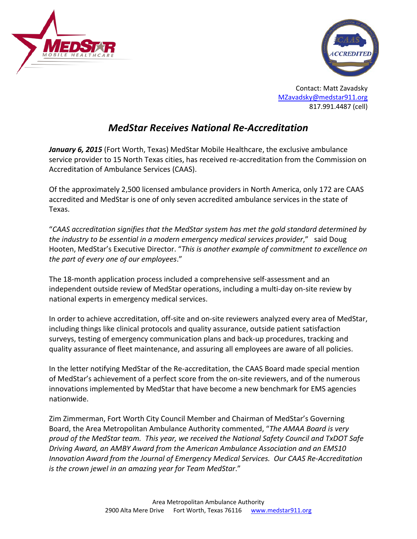



Contact: Matt Zavadsky [MZavadsky@medstar911.org](mailto:MZavadsky@medstar911.org) 817.991.4487 (cell)

## *MedStar Receives National Re-Accreditation*

January 6, 2015 (Fort Worth, Texas) MedStar Mobile Healthcare, the exclusive ambulance service provider to 15 North Texas cities, has received re-accreditation from the Commission on Accreditation of Ambulance Services (CAAS).

Of the approximately 2,500 licensed ambulance providers in North America, only 172 are CAAS accredited and MedStar is one of only seven accredited ambulance services in the state of Texas.

"*CAAS accreditation signifies that the MedStar system has met the gold standard determined by the industry to be essential in a modern emergency medical services provider*," said Doug Hooten, MedStar's Executive Director. "*This is another example of commitment to excellence on the part of every one of our employees*."

The 18-month application process included a comprehensive self-assessment and an independent outside review of MedStar operations, including a multi-day on-site review by national experts in emergency medical services.

In order to achieve accreditation, off-site and on-site reviewers analyzed every area of MedStar, including things like clinical protocols and quality assurance, outside patient satisfaction surveys, testing of emergency communication plans and back-up procedures, tracking and quality assurance of fleet maintenance, and assuring all employees are aware of all policies.

In the letter notifying MedStar of the Re-accreditation, the CAAS Board made special mention of MedStar's achievement of a perfect score from the on-site reviewers, and of the numerous innovations implemented by MedStar that have become a new benchmark for EMS agencies nationwide.

Zim Zimmerman, Fort Worth City Council Member and Chairman of MedStar's Governing Board, the Area Metropolitan Ambulance Authority commented, "*The AMAA Board is very proud of the MedStar team. This year, we received the National Safety Council and TxDOT Safe Driving Award, an AMBY Award from the American Ambulance Association and an EMS10 Innovation Award from the Journal of Emergency Medical Services. Our CAAS Re-Accreditation is the crown jewel in an amazing year for Team MedStar*."